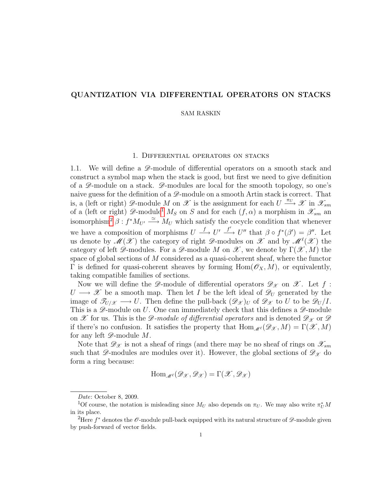## QUANTIZATION VIA DIFFERENTIAL OPERATORS ON STACKS

#### SAM RASKIN

### 1. Differential operators on stacks

<span id="page-0-2"></span>1.1. We will define a  $\mathscr{D}$ -module of differential operators on a smooth stack and construct a symbol map when the stack is good, but first we need to give definition of a  $\mathscr{D}$ -module on a stack.  $\mathscr{D}$ -modules are local for the smooth topology, so one's naive guess for the definition of a  $\mathscr{D}$ -module on a smooth Artin stack is correct. That is, a (left or right)  $\mathscr{D}$ -module M on  $\mathscr{X}$  is the assignment for each  $U \stackrel{\pi_U}{\longrightarrow} \mathscr{X}$  in  $\mathscr{X}_{sm}$ of a (left or right)  $\mathscr{D}$ -module<sup>[1](#page-0-0)</sup>  $M_S$  on S and for each  $(f, \alpha)$  a morphism in  $\mathscr{X}_{sm}$  and isomorphism<sup>[2](#page-0-1)</sup>  $\beta: f^*M_{U'} \stackrel{\simeq}{\longrightarrow} M_U$  which satisfy the cocycle condition that whenever we have a composition of morphisms  $U \stackrel{f}{\longrightarrow} U' \stackrel{f'}{\longrightarrow} U''$  that  $\beta \circ f^*(\beta') = \beta''$ . Let us denote by  $\mathscr{M}(\mathscr{X})$  the category of right  $\mathscr{D}$ -modules on  $\mathscr{X}$  and by  $\mathscr{M}(\mathscr{X})$  the category of left  $\mathscr{D}$ -modules. For a  $\mathscr{D}$ -module M on  $\mathscr{X}$ , we denote by  $\Gamma(\mathscr{X},M)$  the space of global sections of  $M$  considered as a quasi-coherent sheaf, where the functor  $\Gamma$  is defined for quasi-coherent sheaves by forming  $\text{Hom}(\mathscr{O}_X, M)$ , or equivalently, taking compatible families of sections.

Now we will define the  $\mathscr{D}$ -module of differential operators  $\mathscr{D}_{\mathscr{X}}$  on  $\mathscr{X}$ . Let f:  $U \longrightarrow \mathscr{X}$  be a smooth map. Then let I be the left ideal of  $\mathscr{D}_U$  generated by the image of  $\mathscr{T}_{U/\mathscr{X}} \longrightarrow U$ . Then define the pull-back  $(\mathscr{D}_{\mathscr{X}})_U$  of  $\mathscr{D}_{\mathscr{X}}$  to U to be  $\mathscr{D}_U/I$ . This is a  $\mathscr{D}$ -module on U. One can immediately check that this defines a  $\mathscr{D}$ -module on X for us. This is the D-module of differential operators and is denoted  $\mathscr{D}_{\mathscr{X}}$  or  $\mathscr{D}$ if there's no confusion. It satisfies the property that  $\text{Hom}_{\mathscr{M}} (\mathscr{D}_{\mathscr{X}}, M) = \Gamma(\mathscr{X}, M)$ for any left  $\mathscr{D}\text{-module }M.$ 

Note that  $\mathscr{D}_{\mathscr{X}}$  is not a sheaf of rings (and there may be no sheaf of rings on  $\mathscr{X}_{sm}$ such that  $\mathscr{D}$ -modules are modules over it). However, the global sections of  $\mathscr{D}_{\mathscr{X}}$  do form a ring because:

$$
\operatorname{Hom}_{\mathscr{M}^{\ell}}(\mathscr{D}_{\mathscr{X}},\mathscr{D}_{\mathscr{X}})=\Gamma(\mathscr{X},\mathscr{D}_{\mathscr{X}})
$$

<span id="page-0-0"></span>Date: October 8, 2009.

<sup>&</sup>lt;sup>1</sup>Of course, the notation is misleading since  $M_U$  also depends on  $\pi_U$ . We may also write  $\pi_U^* M$ in its place.

<span id="page-0-1"></span><sup>&</sup>lt;sup>2</sup>Here  $f^*$  denotes the  $\mathscr O$ -module pull-back equipped with its natural structure of  $\mathscr D$ -module given by push-forward of vector fields.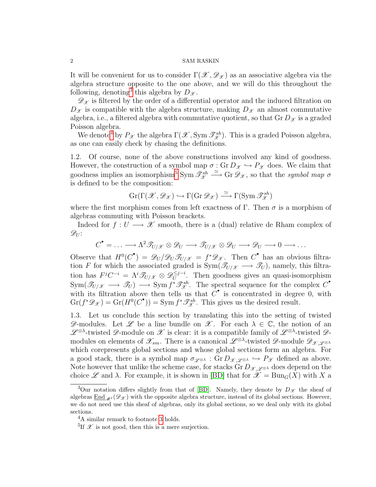### 2 SAM RASKIN

It will be convenient for us to consider  $\Gamma(\mathscr{X}, \mathscr{D}_{\mathscr{X}})$  as an associative algebra via the algebra structure opposite to the one above, and we will do this throughout the following, denoting<sup>[3](#page-1-0)</sup> this algebra by  $D_{\mathscr{X}}$ .

 $\mathscr{D}_{\mathscr{X}}$  is filtered by the order of a differential operator and the induced filtration on  $D_{\mathscr{X}}$  is compatible with the algebra structure, making  $D_{\mathscr{X}}$  an almost commutative algebra, i.e., a filtered algebra with commutative quotient, so that  $\text{Gr } D_{\mathcal{X}}$  is a graded Poisson algebra.

We denote<sup>[4](#page-1-1)</sup> by  $P_{\mathscr{X}}$  the algebra  $\Gamma(\mathscr{X}, \text{Sym} \mathscr{T}^{sh}_{\mathscr{X}})$ . This is a graded Poisson algebra, as one can easily check by chasing the definitions.

1.2. Of course, none of the above constructions involved any kind of goodness. However, the construction of a symbol map  $\sigma : Gr D_{\mathcal{X}} \hookrightarrow P_{\mathcal{X}}$  does. We claim that goodness implies an isomorphism<sup>[5](#page-1-2)</sup> Sym  $\mathcal{T}_{\mathcal{X}}^{sh} \stackrel{\simeq}{\longrightarrow}$  Gr $\mathcal{D}_{\mathcal{X}}$ , so that the *symbol map*  $\sigma$ is defined to be the composition:

$$
\mathrm{Gr}(\Gamma(\mathcal{X},\mathcal{D}_{\mathcal{X}})\hookrightarrow \Gamma(\mathrm{Gr}\,\mathcal{D}_{\mathcal{X}})\xrightarrow{\simeq} \Gamma(\mathrm{Sym}\,\mathcal{F}_{\mathcal{X}}^{sh})
$$

where the first morphism comes from left exactness of  $\Gamma$ . Then  $\sigma$  is a morphism of algebras commuting with Poisson brackets.

Indeed for  $f: U \longrightarrow \mathcal{X}$  smooth, there is a (dual) relative de Rham complex of  $\mathscr{D}_U$ :

$$
C^{\bullet} = \ldots \longrightarrow \Lambda^2 \mathcal{F}_{U/X} \otimes \mathcal{D}_U \longrightarrow \mathcal{F}_{U/X} \otimes \mathcal{D}_U \longrightarrow \mathcal{D}_U \longrightarrow 0 \longrightarrow \ldots
$$

Observe that  $H^0(C^{\bullet}) = \mathscr{D}_U/\mathscr{D}_U \mathscr{T}_{U/x} = f^* \mathscr{D}_{\mathscr{X}}$ . Then  $C^{\bullet}$  has an obvious filtration F for which the associated graded is  $Sym(\mathscr{T}_{U/X} \longrightarrow \mathscr{T}_U)$ , namely, this filtration has  $F^jC^{-i} = \Lambda^i \mathscr{T}_{U/\mathscr{X}} \otimes \mathscr{D}_U^{\leq j-i}$  $U$ <sup> $\geq$  $7^{-i}$ . Then goodness gives an quasi-isomorphism</sup>  $\text{Sym}(\mathscr{T}_{U/X} \longrightarrow \mathscr{T}_U) \longrightarrow \text{Sym } f^* \mathscr{T}_{\mathscr{X}}^{sh}$ . The spectral sequence for the complex  $C^{\bullet}$ with its filtration above then tells us that  $C^{\bullet}$  is concentrated in degree 0, with  $\text{Gr}(f^*\mathscr{D}_{\mathscr{X}}) = \text{Gr}(H^0(C^{\bullet})) = \text{Sym } f^*\mathscr{T}^{sh}_{\mathscr{X}}$ . This gives us the desired result.

1.3. Let us conclude this section by translating this into the setting of twisted  $\mathscr{D}$ -modules. Let  $\mathscr{L}$  be a line bundle on  $\mathscr{X}$ . For each  $\lambda \in \mathbb{C}$ , the notion of an  $\mathscr{L}^{\otimes\lambda}$ -twisted  $\mathscr{D}$ -module on  $\mathscr{X}$  is clear: it is a compatible family of  $\mathscr{L}^{\otimes\lambda}$ -twisted  $\mathscr{D}$ modules on elements of  $\mathscr{X}_{sm}$ . There is a canonical  $\mathscr{L}^{\otimes\lambda}$ -twisted  $\mathscr{D}$ -module  $\mathscr{D}_{\mathscr{X},\mathscr{L}^{\otimes\lambda}}$ which corepresents global sections and whose global sections form an algebra. For a good stack, there is a symbol map  $\sigma_{\mathscr{L}^{\otimes \lambda}} : Gr D_{\mathscr{X},\mathscr{L}^{\otimes \lambda}} \hookrightarrow P_{\mathscr{X}}$  defined as above. Note however that unlike the scheme case, for stacks Gr  $D_{\mathscr{X},\mathscr{L}^{\otimes\lambda}}$  does depend on the choice L and  $\lambda$ . For example, it is shown in [\[BD\]](#page-5-0) that for  $\mathscr{X} = \text{Bun}_G(X)$  with X a

<span id="page-1-0"></span> $3$ Our notation differs slightly from that of [\[BD\]](#page-5-0). Namely, they denote by  $D_{\mathscr{X}}$  the sheaf of algebras End  $\mathcal{A}(\mathscr{D}_{\mathscr{X}})$  with the opposite algebra structure, instead of its global sections. However, we do not need use this sheaf of algebras, only its global sections, so we deal only with its global sections.

<span id="page-1-1"></span><sup>4</sup>A similar remark to footnote [3](#page-1-0) holds.

<span id="page-1-2"></span><sup>&</sup>lt;sup>5</sup>If  $\mathscr X$  is not good, then this is a mere surjection.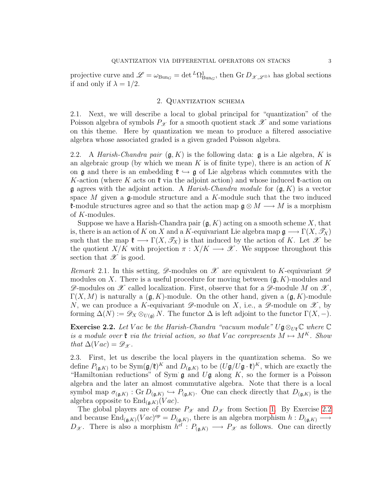projective curve and  $\mathscr{L} = \omega_{\text{Bun}_G} = \det^L \Omega^1_{\text{Bun}_G}$ , then  $\text{Gr} D_{\mathscr{X},\mathscr{L}^{\otimes \lambda}}$  has global sections if and only if  $\lambda = 1/2$ .

# 2. Quantization schema

2.1. Next, we will describe a local to global principal for "quantization" of the Poisson algebra of symbols  $P_{\mathcal{X}}$  for a smooth quotient stack  $\mathcal{X}$  and some variations on this theme. Here by quantization we mean to produce a filtered associative algebra whose associated graded is a given graded Poisson algebra.

2.2. A *Harish-Chandra pair*  $(g, K)$  is the following data:  $g$  is a Lie algebra, K is an algebraic group (by which we mean K is of finite type), there is an action of K on **g** and there is an embedding  $\mathfrak{k} \hookrightarrow \mathfrak{g}$  of Lie algebras which commutes with the K-action (where K acts on  $\mathfrak k$  via the adjoint action) and whose induced  $\mathfrak k$ -action on **g** agrees with the adjoint action. A *Harish-Chandra module* for  $(g, K)$  is a vector space M given a g-module structure and a K-module such that the two induced **k-module structures agree and so that the action map**  $\mathfrak{g} \otimes M \longrightarrow M$  **is a morphism** of K-modules.

Suppose we have a Harish-Chandra pair  $(\mathfrak{g}, K)$  acting on a smooth scheme X, that is, there is an action of K on X and a K-equivariant Lie algebra map  $\mathfrak{g} \longrightarrow \Gamma(X, \mathcal{T}_X)$ such that the map  $\mathfrak{k} \longrightarrow \Gamma(X, \mathscr{T}_X)$  is that induced by the action of K. Let  $\mathscr{X}$  be the quotient  $X/K$  with projection  $\pi : X/K \longrightarrow \mathscr{X}$ . We suppose throughout this section that  $\mathscr X$  is good.

Remark 2.1. In this setting,  $\mathscr{D}$ -modules on  $\mathscr{X}$  are equivalent to K-equivariant  $\mathscr{D}$ modules on X. There is a useful procedure for moving between  $(\mathfrak{g}, K)$ -modules and  $\mathscr{D}$ -modules on  $\mathscr{X}$  called localization. First, observe that for a  $\mathscr{D}$ -module M on  $\mathscr{X}$ ,  $\Gamma(X, M)$  is naturally a  $(\mathfrak{g}, K)$ -module. On the other hand, given a  $(\mathfrak{g}, K)$ -module N, we can produce a K-equivariant  $\mathscr{D}$ -module on X, i.e., a  $\mathscr{D}$ -module on X, by forming  $\Delta(N) := \mathscr{D}_X \otimes_{U(\mathfrak{g})} N$ . The functor  $\Delta$  is left adjoint to the functor  $\Gamma(X, -)$ .

<span id="page-2-0"></span>**Exercise 2.2.** Let Vac be the Harish-Chandra "vacuum module" Ug⊗<sub>Ut</sub>  $\mathbb{C}$  where  $\mathbb{C}$ is a module over  $\mathfrak k$  via the trivial action, so that V ac corepresents  $M \mapsto M^K$ . Show that  $\Delta (Vac) = \mathscr{D}_{\mathscr{X}}$ .

2.3. First, let us describe the local players in the quantization schema. So we define  $P_{(\mathfrak{g},K)}$  to be  $\text{Sym}(\mathfrak{g}/\mathfrak{k})^K$  and  $D_{(\mathfrak{g},K)}$  to be  $(U\mathfrak{g}/U\mathfrak{g}\cdot\mathfrak{k})^K$ , which are exactly the "Hamiltonian reductions" of Sym  $\mathfrak g$  and  $U\mathfrak g$  along  $K$ , so the former is a Poisson algebra and the later an almost commutative algebra. Note that there is a local symbol map  $\sigma_{(\mathfrak{g},K)} : Gr D_{(\mathfrak{g},K)} \hookrightarrow P_{(\mathfrak{g},K)}$ . One can check directly that  $D_{(\mathfrak{g},K)}$  is the algebra opposite to  $\text{End}_{(\mathfrak{g},K)}(Vac)$ .

The global players are of course  $P_{\mathcal{X}}$  and  $D_{\mathcal{X}}$  from Section [1.](#page-0-2) By Exercise [2.2](#page-2-0) and because  $\text{End}_{(\mathfrak{g},K)}(Vac)^{op} = D_{(\mathfrak{g},K)}$ , there is an algebra morphism  $h: D_{(\mathfrak{g},K)} \longrightarrow$  $D_{\mathscr{X}}$ . There is also a morphism  $h^{cl}: P_{(\mathfrak{g},K)} \longrightarrow P_{\mathscr{X}}$  as follows. One can directly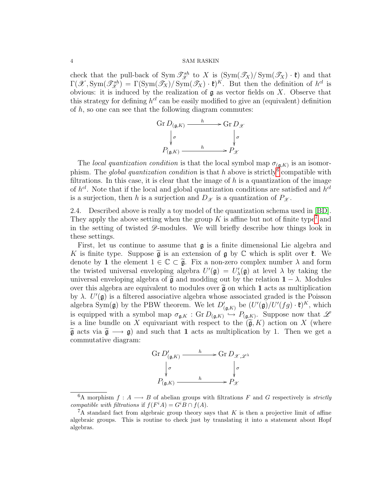### 4 SAM RASKIN

check that the pull-back of Sym  $\mathcal{T}_{\mathcal{X}}^{sh}$  to X is  $(\text{Sym}(\mathcal{T}_X)/\text{Sym}(\mathcal{T}_X) \cdot \mathfrak{k})$  and that  $\Gamma(\mathscr{X}, \text{Sym}(\mathscr{T}_{\mathscr{X}}^{sh}) = \Gamma(\text{Sym}(\mathscr{T}_X)/\text{Sym}(\mathscr{T}_X) \cdot \mathfrak{k})^K$ . But then the definition of  $h^{cl}$  is obvious: it is induced by the realization of  $\mathfrak g$  as vector fields on X. Observe that this strategy for defining  $h^{cl}$  can be easily modified to give an (equivalent) definition of  $h$ , so one can see that the following diagram commutes:

$$
\begin{array}{ccc}\n\operatorname{Gr} D_{(\mathfrak{g},K)} & \xrightarrow{h} & \operatorname{Gr} D_{\mathscr{X}} \\
\downarrow^{\sigma} & & \downarrow^{\sigma} \\
P_{(\mathfrak{g},K)} & \xrightarrow{h} & P_{\mathscr{X}}\n\end{array}
$$

The local quantization condition is that the local symbol map  $\sigma_{(\mathfrak{g},K)}$  is an isomorphism. The *global quantization condition* is that h above is strictly<sup>[6](#page-3-0)</sup> compatible with filtrations. In this case, it is clear that the image of  $h$  is a quantization of the image of  $h^{cl}$ . Note that if the local and global quantization conditions are satisfied and  $h^{cl}$ is a surjection, then h is a surjection and  $D_{\mathscr{X}}$  is a quantization of  $P_{\mathscr{X}}$ .

2.4. Described above is really a toy model of the quantization schema used in [\[BD\]](#page-5-0). They apply the above setting when the group  $K$  is affine but not of finite type<sup>[7](#page-3-1)</sup> and in the setting of twisted  $\mathscr{D}$ -modules. We will briefly describe how things look in these settings.

First, let us continue to assume that g is a finite dimensional Lie algebra and K is finite type. Suppose  $\tilde{\mathfrak{g}}$  is an extension of  $\mathfrak{g}$  by  $\mathbb C$  which is split over  $\mathfrak{k}$ . We denote by 1 the element  $1 \in \mathbb{C} \subset \tilde{\mathfrak{g}}$ . Fix a non-zero complex number  $\lambda$  and form the twisted universal enveloping algebra  $U'(\mathfrak{g}) = U'_{\lambda}(\mathfrak{g})$  at level  $\lambda$  by taking the universal enveloping algebra of  $\tilde{g}$  and modding out by the relation  $1 - \lambda$ . Modules over this algebra are equivalent to modules over  $\tilde{\mathfrak{g}}$  on which 1 acts as multiplication by  $\lambda$ .  $U'(\mathfrak{g})$  is a filtered associative algebra whose associated graded is the Poisson algebra Sym( $\mathfrak{g}$ ) by the PBW theorem. We let  $D'_{(\mathfrak{g},K)}$  be  $(U'(\mathfrak{g})/U'(fg) \cdot \mathfrak{k})^K$ , which is equipped with a symbol map  $\sigma_{\mathfrak{g},K} : Gr D_{(\mathfrak{g},K)} \hookrightarrow P_{(\mathfrak{g},K)}$ . Suppose now that  $\mathscr L$ is a line bundle on X equivariant with respect to the  $(\widetilde{\mathfrak{g}}, K)$  action on X (where  $\tilde{\mathfrak{g}}$  acts via  $\tilde{\mathfrak{g}} \longrightarrow \mathfrak{g}$  and such that 1 acts as multiplication by 1. Then we get a commutative diagram:

$$
\begin{array}{ccc}\n\operatorname{Gr} D'_{(\mathfrak{g},K)} & \xrightarrow{h} & \operatorname{Gr} D_{\mathscr{X},\mathscr{L}^\lambda} \\
\downarrow^{\sigma} & & \downarrow^{\sigma} \\
P_{(\mathfrak{g},K)} & \xrightarrow{h} & P_{\mathscr{X}}\n\end{array}
$$

<span id="page-3-0"></span><sup>&</sup>lt;sup>6</sup>A morphism  $f: A \longrightarrow B$  of abelian groups with filtrations F and G respectively is *strictly* compatible with filtrations if  $f(F^iA) = G^iB \cap f(A)$ .

<span id="page-3-1"></span> ${}^{7}$ A standard fact from algebraic group theory says that K is then a projective limit of affine algebraic groups. This is routine to check just by translating it into a statement about Hopf algebras.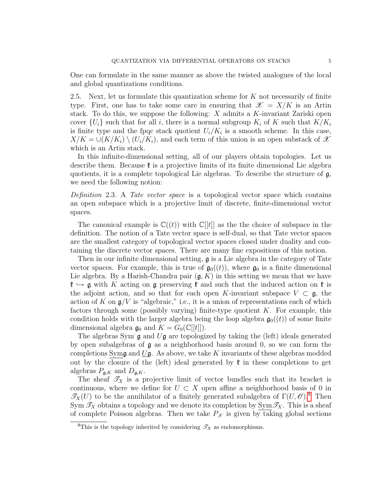One can formulate in the same manner as above the twisted analogues of the local and global quantizations conditions.

2.5. Next, let us formulate this quantization scheme for  $K$  not necessarily of finite type. First, one has to take some care in ensuring that  $\mathscr{X} = X/K$  is an Artin stack. To do this, we suppose the following: X admits a K-invariant Zariski open cover  $\{U_i\}$  such that for all i, there is a normal subgroup  $K_i$  of K such that  $K/K_i$ is finite type and the fpqc stack quotient  $U_i/K_i$  is a smooth scheme. In this case,  $X/K = \cup (K/K_i) \setminus (U_i/K_i)$ , and each term of this union is an open substack of X which is an Artin stack.

In this infinite-dimensional setting, all of our players obtain topologies. Let us describe them. Because  $\mathfrak k$  is a projective limits of its finite dimensional Lie algebra quotients, it is a complete topological Lie algebras. To describe the structure of  $\mathfrak{g}$ , we need the following notion:

Definition 2.3. A Tate vector space is a topological vector space which contains an open subspace which is a projective limit of discrete, finite-dimensional vector spaces.

The canonical example is  $\mathbb{C}((t))$  with  $\mathbb{C}[[t]]$  as the the choice of subspace in the definition. The notion of a Tate vector space is self-dual, so that Tate vector spaces are the smallest category of topological vector spaces closed under duality and containing the discrete vector spaces. There are many fine expositions of this notion.

Then in our infinite dimensional setting, g is a Lie algebra in the category of Tate vector spaces. For example, this is true of  $\mathfrak{g}_0((t))$ , where  $\mathfrak{g}_0$  is a finite dimensional Lie algebra. By a Harish-Chandra pair  $(\mathfrak{g}, K)$  in this setting we mean that we have  $\mathfrak{k} \hookrightarrow \mathfrak{g}$  with K acting on  $\mathfrak{g}$  preserving  $\mathfrak{k}$  and such that the induced action on  $\mathfrak{k}$  is the adjoint action, and so that for each open K-invariant subspace  $V \subset \mathfrak{g}$ , the action of K on  $\mathfrak{g}/V$  is "algebraic," i.e., it is a union of representations each of which factors through some (possibly varying) finite-type quotient  $K$ . For example, this condition holds with the larger algebra being the loop algebra  $\mathfrak{g}_0((t))$  of some finite dimensional algebra  $\mathfrak{g}_0$  and  $K = G_0(\mathbb{C}[[t]])$ .

The algebras Sym  $\mathfrak g$  and  $U\mathfrak g$  are topologized by taking the (left) ideals generated by open subalgebras of g as a neighborhood basis around 0, so we can form the completions Symg and  $\underline{U}$ g. As above, we take K invariants of these algebras modded out by the closure of the (left) ideal generated by  $\mathfrak k$  in these completions to get algebras  $P_{\mathfrak{g},K}$  and  $D_{\mathfrak{g},K}$ .

The sheaf  $\mathcal{T}_X$  is a projective limit of vector bundles such that its bracket is continuous, where we define for  $U \subset X$  open affine a neighborhood basis of 0 in  $\mathscr{T}_X(U)$  to be the annihilator of a finitely generated subalgebra of  $\Gamma(U,\mathscr{O})$ .<sup>[8](#page-4-0)</sup> Then Sym  $\mathcal{T}_X$  obtains a topology and we denote its completion by Sym  $\mathcal{T}_X$ . This is a sheaf of complete Poisson algebras. Then we take  $P_{\mathcal{X}}$  is given by taking global sections

<span id="page-4-0"></span><sup>&</sup>lt;sup>8</sup>This is the topology inherited by considering  $\mathcal{T}_X$  as endomorphisms.